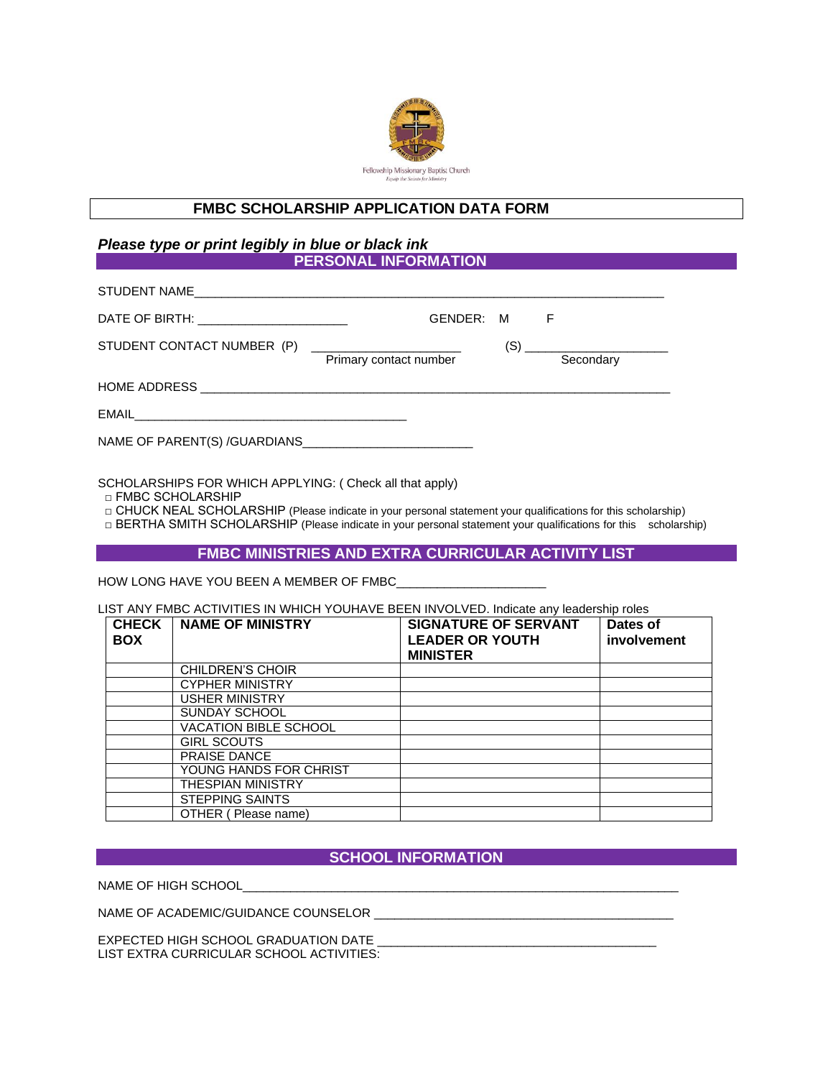

## **FMBC SCHOLARSHIP APPLICATION DATA FORM**

#### *Please type or print legibly in blue or black ink*  **PERSONAL INFORMATION**

| STUDENT NAME                            |                                                                         |     |                                                                                                                                    |
|-----------------------------------------|-------------------------------------------------------------------------|-----|------------------------------------------------------------------------------------------------------------------------------------|
| DATE OF BIRTH: ________________________ | GENDER: M                                                               |     | F                                                                                                                                  |
| STUDENT CONTACT NUMBER (P)              | <u> 1989 - Andrea State Barbara, martin a</u><br>Primary contact number | (S) | <u> 1989 - Johann John Stone, markin film yn y breninn y breninn y breninn y breninn y breninn y breninn y brenin</u><br>Secondary |
|                                         |                                                                         |     |                                                                                                                                    |
|                                         |                                                                         |     |                                                                                                                                    |
|                                         |                                                                         |     |                                                                                                                                    |

SCHOLARSHIPS FOR WHICH APPLYING: ( Check all that apply)

□ FMBC SCHOLARSHIP

□ CHUCK NEAL SCHOLARSHIP (Please indicate in your personal statement your qualifications for this scholarship)

□ BERTHA SMITH SCHOLARSHIP (Please indicate in your personal statement your qualifications for this scholarship)

## **FMBC MINISTRIES AND EXTRA CURRICULAR ACTIVITY LIST**

HOW LONG HAVE YOU BEEN A MEMBER OF FMBC

LIST ANY FMBC ACTIVITIES IN WHICH YOUHAVE BEEN INVOLVED. Indicate any leadership roles

| <b>CHECK</b><br><b>BOX</b> | <b>NAME OF MINISTRY</b>      | <b>SIGNATURE OF SERVANT</b><br><b>LEADER OR YOUTH</b><br><b>MINISTER</b> | Dates of<br>involvement |
|----------------------------|------------------------------|--------------------------------------------------------------------------|-------------------------|
|                            | CHILDREN'S CHOIR             |                                                                          |                         |
|                            | <b>CYPHER MINISTRY</b>       |                                                                          |                         |
|                            | <b>USHER MINISTRY</b>        |                                                                          |                         |
|                            | SUNDAY SCHOOL                |                                                                          |                         |
|                            | <b>VACATION BIBLE SCHOOL</b> |                                                                          |                         |
|                            | <b>GIRL SCOUTS</b>           |                                                                          |                         |
|                            | <b>PRAISE DANCE</b>          |                                                                          |                         |
|                            | YOUNG HANDS FOR CHRIST       |                                                                          |                         |
|                            | <b>THESPIAN MINISTRY</b>     |                                                                          |                         |
|                            | <b>STEPPING SAINTS</b>       |                                                                          |                         |
|                            | OTHER (Please name)          |                                                                          |                         |

# **SCHOOL INFORMATION**

NAME OF HIGH SCHOOL

NAME OF ACADEMIC/GUIDANCE COUNSELOR \_\_

EXPECTED HIGH SCHOOL GRADUATION DATE LIST EXTRA CURRICULAR SCHOOL ACTIVITIES: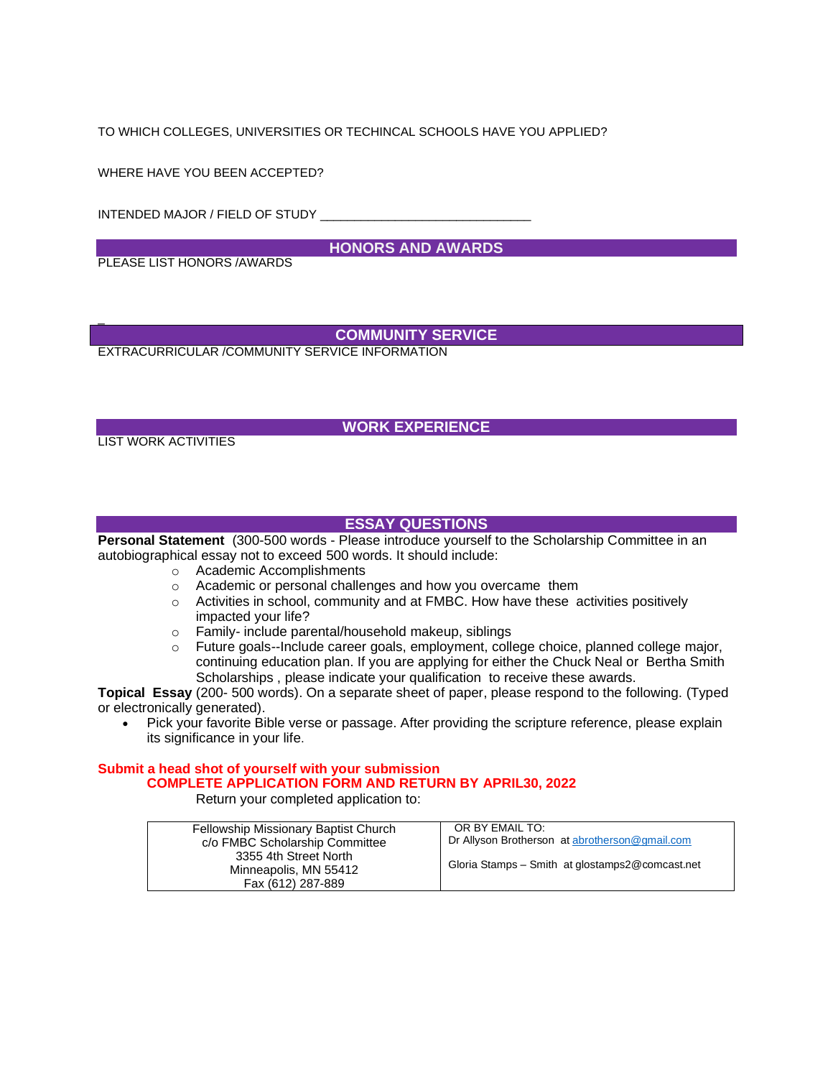TO WHICH COLLEGES, UNIVERSITIES OR TECHINCAL SCHOOLS HAVE YOU APPLIED?

WHERE HAVE YOU BEEN ACCEPTED?

INTENDED MAJOR / FIELD OF STUDY \_\_\_\_\_\_

**HONORS AND AWARDS** 

PLEASE LIST HONORS /AWARDS

## **COMMUNITY SERVICE**

EXTRACURRICULAR /COMMUNITY SERVICE INFORMATION

## **WORK EXPERIENCE**

LIST WORK ACTIVITIES

\_

## **ESSAY QUESTIONS**

**Personal Statement** (300-500 words - Please introduce yourself to the Scholarship Committee in an autobiographical essay not to exceed 500 words. It should include:

- o Academic Accomplishments
- o Academic or personal challenges and how you overcame them
- $\circ$  Activities in school, community and at FMBC. How have these activities positively impacted your life?
- 
- o Family- include parental/household makeup, siblings<br>
o Future goals--Include career goals. employment. colle Future goals--Include career goals, employment, college choice, planned college major, continuing education plan. If you are applying for either the Chuck Neal or Bertha Smith Scholarships , please indicate your qualification to receive these awards.

**Topical Essay** (200- 500 words). On a separate sheet of paper, please respond to the following. (Typed or electronically generated).

• Pick your favorite Bible verse or passage. After providing the scripture reference, please explain its significance in your life.

#### **Submit a head shot of yourself with your submission COMPLETE APPLICATION FORM AND RETURN BY APRIL30, 2022** Return your completed application to:

| Fellowship Missionary Baptist Church<br>c/o FMBC Scholarship Committee | OR BY EMAIL TO:<br>Dr Allyson Brotherson at abrotherson@gmail.com |
|------------------------------------------------------------------------|-------------------------------------------------------------------|
| 3355 4th Street North<br>Minneapolis, MN 55412                         | Gloria Stamps - Smith at glostamps 2@ comcast.net                 |
| Fax (612) 287-889                                                      |                                                                   |